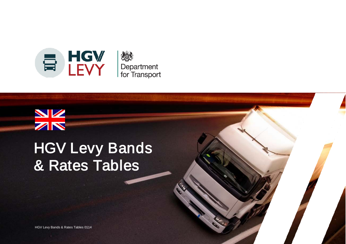

# $\frac{N}{N}$ HGV Levy Bands & Rates Tables

HGV Levy Bands & Rates Tables 0114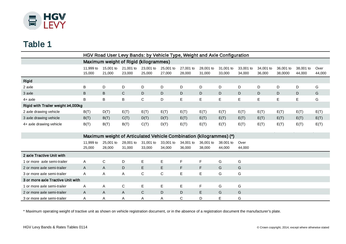

## Table 1

|                                    | HGV Road User Levy Bands: by Vehicle Type, Weight and Axle Configuration |                                                                     |                     |                     |                     |                     |                     |                     |                     |                     |                      |                     |                |
|------------------------------------|--------------------------------------------------------------------------|---------------------------------------------------------------------|---------------------|---------------------|---------------------|---------------------|---------------------|---------------------|---------------------|---------------------|----------------------|---------------------|----------------|
|                                    | Maximum weight of Rigid (kilogrammes)                                    |                                                                     |                     |                     |                     |                     |                     |                     |                     |                     |                      |                     |                |
|                                    | 11,999 to<br>15,000                                                      | 15,001 to<br>21,000                                                 | 21,001 to<br>23,000 | 23,001 to<br>25,000 | 25,001 to<br>27,000 | 27,001 to<br>28,000 | 28,001 to<br>31,000 | 31,001 to<br>33,000 | 33,001 to<br>34,000 | 34,001 to<br>36,000 | 36,001 to<br>38,0000 | 38,001 to<br>44,000 | Over<br>44,000 |
| <b>Rigid</b>                       |                                                                          |                                                                     |                     |                     |                     |                     |                     |                     |                     |                     |                      |                     |                |
| 2 axle                             | В                                                                        | D                                                                   | D                   | D                   | D                   | D                   | D                   | D                   | D                   | D                   | D                    | D                   | G              |
| 3 axle                             | B                                                                        | B                                                                   | $\mathsf{C}$        | $\mathsf D$         | D                   | D                   | D                   | D                   | D                   | D                   | D                    | D                   | G              |
| $4+$ axle                          | B                                                                        | B                                                                   | B                   | $\mathsf{C}$        | D                   | E                   | E                   | E                   | E                   | E                   | $\mathsf E$          | E                   | G              |
| Rigid with Trailer weight ≥4,000kg |                                                                          |                                                                     |                     |                     |                     |                     |                     |                     |                     |                     |                      |                     |                |
| 2 axle drawing vehicle             | B(T)                                                                     | D(T)                                                                | E(T)                | E(T)                | E(T)                | E(T)                | E(T)                | E(T)                | E(T)                | E(T)                | E(T)                 | E(T)                | E(T)           |
| 3 axle drawing vehicle             | B(T)                                                                     | B(T)                                                                | C(T)                | D(T)                | D(T)                | E(T)                | E(T)                | E(T)                | E(T)                | E(T)                | E(T)                 | E(T)                | E(T)           |
| 4+ axle drawing vehicle            | B(T)                                                                     | B(T)                                                                | B(T)                | C(T)                | D(T)                | E(T)                | E(T)                | E(T)                | E(T)                | E(T)                | E(T)                 | E(T)                | E(T)           |
|                                    |                                                                          |                                                                     |                     |                     |                     |                     |                     |                     |                     |                     |                      |                     |                |
|                                    |                                                                          | Maximum weight of Articulated Vehicle Combination (kilogrammes) (*) |                     |                     |                     |                     |                     |                     |                     |                     |                      |                     |                |
|                                    | 11,999 to<br>25,000                                                      | 25,001 to<br>28,000                                                 | 28,001 to<br>31,000 | 31,001 to<br>33,000 | 33,001 to<br>34,000 | 34,001 to<br>36,000 | 36,001 to<br>38,000 | 38,001 to<br>44,000 | Over<br>44,000      |                     |                      |                     |                |
| 2 axle Tractive Unit with          |                                                                          |                                                                     |                     |                     |                     |                     |                     |                     |                     |                     |                      |                     |                |
| 1 or more axle semi-trailer        | A                                                                        | $\mathbf C$                                                         | D                   | E                   | E.                  | $\mathsf F$         | $\mathsf F$         | G                   | G                   |                     |                      |                     |                |
| 2 or more axle semi-trailer        | A                                                                        | A                                                                   | $\mathsf D$         | E                   | E                   | F                   | $\mathsf F$         | G                   | G                   |                     |                      |                     |                |
| 3 or more axle semi-trailer        | A                                                                        | Α                                                                   | A                   | $\mathsf C$         | C                   | E                   | $\mathsf E$         | G                   | G                   |                     |                      |                     |                |
| 3 or more axle Tractive Unit with  |                                                                          |                                                                     |                     |                     |                     |                     |                     |                     |                     |                     |                      |                     |                |
| 1 or more axle semi-trailer        | A                                                                        | Α                                                                   | $\mathsf C$         | E                   | E                   | E                   | $\mathsf{F}$        | G                   | G                   |                     |                      |                     |                |
| 2 or more axle semi-trailer        | A                                                                        | A                                                                   | $\mathsf{A}$        | $\mathbf C$         | D                   | D                   | $\mathsf E$         | G                   | G                   |                     |                      |                     |                |
| 3 or more axle semi-trailer        | A                                                                        | Α                                                                   | A                   | A                   | Α                   | C                   | D                   | E                   | G                   |                     |                      |                     |                |

\* Maximum operating weight of tractive unit as shown on vehicle registration document, or in the absence of a registration document the manufacturer's plate.